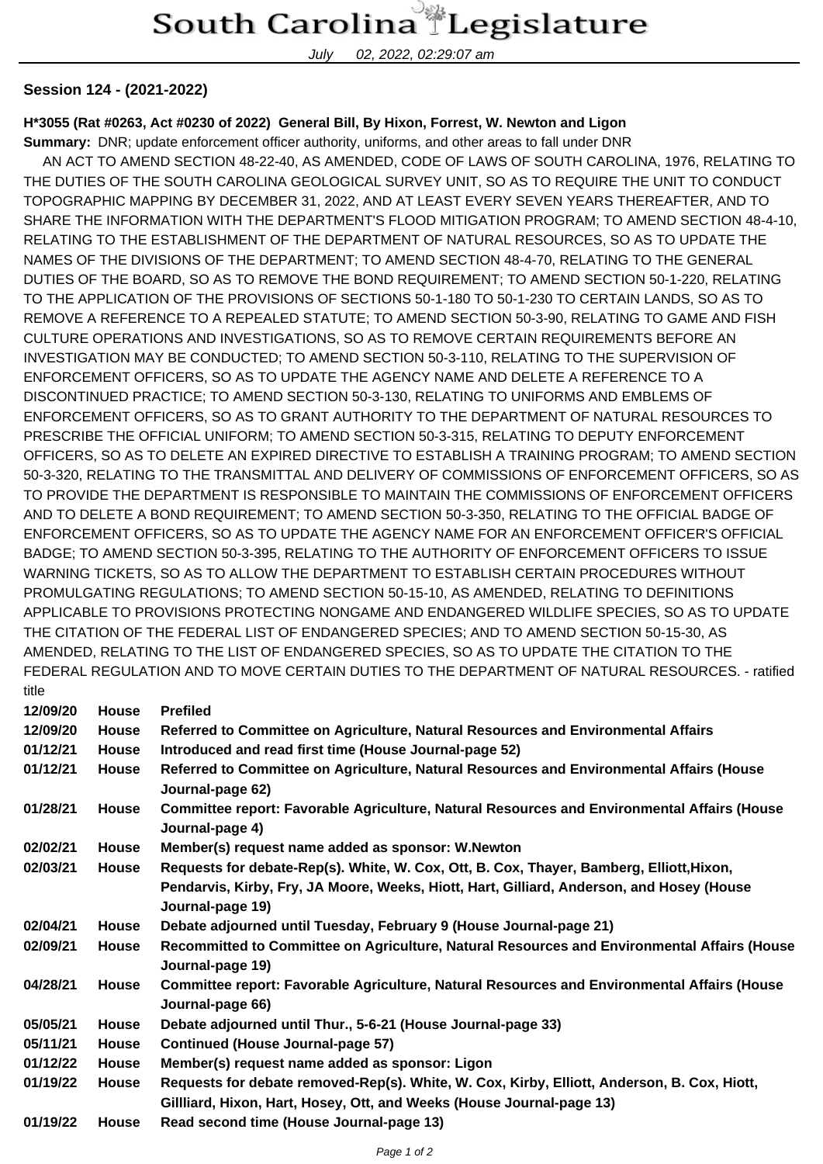## South Carolina Legislature

July 02, 2022, 02:29:07 am

## **Session 124 - (2021-2022)**

## **H\*3055 (Rat #0263, Act #0230 of 2022) General Bill, By Hixon, Forrest, W. Newton and Ligon**

**Summary:** DNR; update enforcement officer authority, uniforms, and other areas to fall under DNR

 AN ACT TO AMEND SECTION 48-22-40, AS AMENDED, CODE OF LAWS OF SOUTH CAROLINA, 1976, RELATING TO THE DUTIES OF THE SOUTH CAROLINA GEOLOGICAL SURVEY UNIT, SO AS TO REQUIRE THE UNIT TO CONDUCT TOPOGRAPHIC MAPPING BY DECEMBER 31, 2022, AND AT LEAST EVERY SEVEN YEARS THEREAFTER, AND TO SHARE THE INFORMATION WITH THE DEPARTMENT'S FLOOD MITIGATION PROGRAM; TO AMEND SECTION 48-4-10, RELATING TO THE ESTABLISHMENT OF THE DEPARTMENT OF NATURAL RESOURCES, SO AS TO UPDATE THE NAMES OF THE DIVISIONS OF THE DEPARTMENT; TO AMEND SECTION 48-4-70, RELATING TO THE GENERAL DUTIES OF THE BOARD, SO AS TO REMOVE THE BOND REQUIREMENT; TO AMEND SECTION 50-1-220, RELATING TO THE APPLICATION OF THE PROVISIONS OF SECTIONS 50-1-180 TO 50-1-230 TO CERTAIN LANDS, SO AS TO REMOVE A REFERENCE TO A REPEALED STATUTE; TO AMEND SECTION 50-3-90, RELATING TO GAME AND FISH CULTURE OPERATIONS AND INVESTIGATIONS, SO AS TO REMOVE CERTAIN REQUIREMENTS BEFORE AN INVESTIGATION MAY BE CONDUCTED; TO AMEND SECTION 50-3-110, RELATING TO THE SUPERVISION OF ENFORCEMENT OFFICERS, SO AS TO UPDATE THE AGENCY NAME AND DELETE A REFERENCE TO A DISCONTINUED PRACTICE; TO AMEND SECTION 50-3-130, RELATING TO UNIFORMS AND EMBLEMS OF ENFORCEMENT OFFICERS, SO AS TO GRANT AUTHORITY TO THE DEPARTMENT OF NATURAL RESOURCES TO PRESCRIBE THE OFFICIAL UNIFORM; TO AMEND SECTION 50-3-315, RELATING TO DEPUTY ENFORCEMENT OFFICERS, SO AS TO DELETE AN EXPIRED DIRECTIVE TO ESTABLISH A TRAINING PROGRAM; TO AMEND SECTION 50-3-320, RELATING TO THE TRANSMITTAL AND DELIVERY OF COMMISSIONS OF ENFORCEMENT OFFICERS, SO AS TO PROVIDE THE DEPARTMENT IS RESPONSIBLE TO MAINTAIN THE COMMISSIONS OF ENFORCEMENT OFFICERS AND TO DELETE A BOND REQUIREMENT; TO AMEND SECTION 50-3-350, RELATING TO THE OFFICIAL BADGE OF ENFORCEMENT OFFICERS, SO AS TO UPDATE THE AGENCY NAME FOR AN ENFORCEMENT OFFICER'S OFFICIAL BADGE; TO AMEND SECTION 50-3-395, RELATING TO THE AUTHORITY OF ENFORCEMENT OFFICERS TO ISSUE WARNING TICKETS, SO AS TO ALLOW THE DEPARTMENT TO ESTABLISH CERTAIN PROCEDURES WITHOUT PROMULGATING REGULATIONS; TO AMEND SECTION 50-15-10, AS AMENDED, RELATING TO DEFINITIONS APPLICABLE TO PROVISIONS PROTECTING NONGAME AND ENDANGERED WILDLIFE SPECIES, SO AS TO UPDATE THE CITATION OF THE FEDERAL LIST OF ENDANGERED SPECIES; AND TO AMEND SECTION 50-15-30, AS AMENDED, RELATING TO THE LIST OF ENDANGERED SPECIES, SO AS TO UPDATE THE CITATION TO THE FEDERAL REGULATION AND TO MOVE CERTAIN DUTIES TO THE DEPARTMENT OF NATURAL RESOURCES. - ratified title

| uut      |              |                                                                                                                 |
|----------|--------------|-----------------------------------------------------------------------------------------------------------------|
| 12/09/20 | <b>House</b> | <b>Prefiled</b>                                                                                                 |
| 12/09/20 | House        | Referred to Committee on Agriculture, Natural Resources and Environmental Affairs                               |
| 01/12/21 | <b>House</b> | Introduced and read first time (House Journal-page 52)                                                          |
| 01/12/21 | <b>House</b> | Referred to Committee on Agriculture, Natural Resources and Environmental Affairs (House<br>Journal-page 62)    |
| 01/28/21 | House        | Committee report: Favorable Agriculture, Natural Resources and Environmental Affairs (House<br>Journal-page 4)  |
| 02/02/21 | House        | Member(s) request name added as sponsor: W.Newton                                                               |
| 02/03/21 | <b>House</b> | Requests for debate-Rep(s). White, W. Cox, Ott, B. Cox, Thayer, Bamberg, Elliott, Hixon,                        |
|          |              | Pendarvis, Kirby, Fry, JA Moore, Weeks, Hiott, Hart, Gilliard, Anderson, and Hosey (House<br>Journal-page 19)   |
| 02/04/21 | <b>House</b> | Debate adjourned until Tuesday, February 9 (House Journal-page 21)                                              |
| 02/09/21 | <b>House</b> | Recommitted to Committee on Agriculture, Natural Resources and Environmental Affairs (House<br>Journal-page 19) |
| 04/28/21 | <b>House</b> | Committee report: Favorable Agriculture, Natural Resources and Environmental Affairs (House<br>Journal-page 66) |
| 05/05/21 | House        | Debate adjourned until Thur., 5-6-21 (House Journal-page 33)                                                    |
| 05/11/21 | <b>House</b> | <b>Continued (House Journal-page 57)</b>                                                                        |
| 01/12/22 | <b>House</b> | Member(s) request name added as sponsor: Ligon                                                                  |
| 01/19/22 | <b>House</b> | Requests for debate removed-Rep(s). White, W. Cox, Kirby, Elliott, Anderson, B. Cox, Hiott,                     |
|          |              | Gillliard, Hixon, Hart, Hosey, Ott, and Weeks (House Journal-page 13)                                           |
| 01/19/22 | <b>House</b> | Read second time (House Journal-page 13)                                                                        |